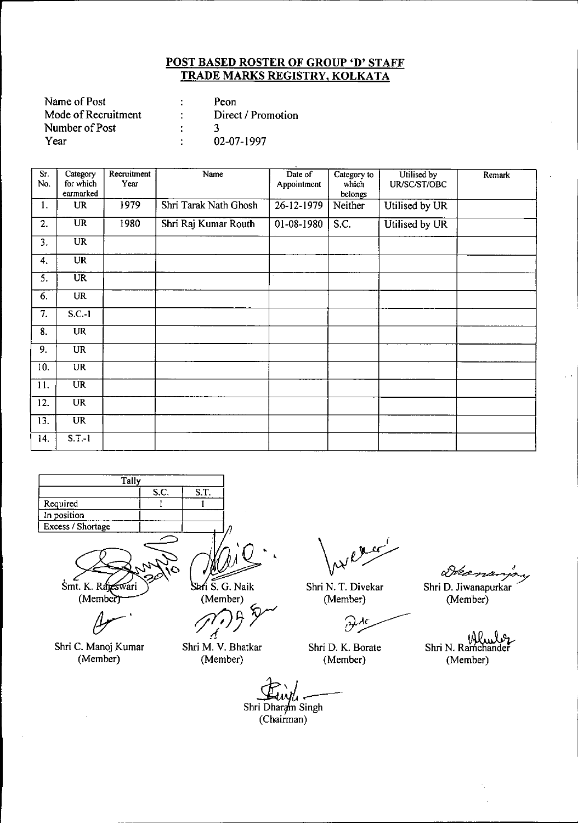| Name of Post        | Peon               |
|---------------------|--------------------|
| Mode of Recruitment | Direct / Promotion |
| Number of Post      |                    |
| Year                | 02-07-1997         |

| Sr.<br>No. | Category<br>for which<br>earmarked | Recruitment<br>Year | Name                  | Date of<br>Appointment | Category to<br>which<br>belongs | Utilised by<br>UR/SC/ST/OBC | Remark |
|------------|------------------------------------|---------------------|-----------------------|------------------------|---------------------------------|-----------------------------|--------|
| 1.         | <b>UR</b>                          | 1979                | Shri Tarak Nath Ghosh | $26 - 12 - 1979$       | Neither                         | Utilised by UR              |        |
| 2.         | $\overline{\text{UR}}$             | 1980                | Shri Raj Kumar Routh  | 01-08-1980             | S.C.                            | Utilised by UR              |        |
| 3.         | $\overline{\text{UR}}$             |                     |                       |                        |                                 |                             |        |
| 4.         | <b>UR</b>                          |                     |                       |                        |                                 |                             |        |
| 5.         | <b>UR</b>                          |                     |                       |                        |                                 |                             |        |
| 6.         | UR                                 |                     |                       |                        |                                 |                             |        |
| 7.         | $S.C.-1$                           |                     |                       |                        |                                 |                             |        |
| 8.         | <b>UR</b>                          |                     |                       |                        |                                 |                             |        |
| 9.         | <b>UR</b>                          |                     |                       |                        |                                 |                             |        |
| 10.        | UR                                 |                     |                       |                        |                                 |                             |        |
| 11.        | <b>UR</b>                          |                     |                       |                        |                                 |                             |        |
| 12.        | <b>UR</b>                          |                     |                       |                        |                                 |                             |        |
| 13.        | <b>UR</b>                          |                     |                       |                        |                                 |                             |        |
| 14.        | $S.T.-1$                           |                     |                       |                        |                                 |                             |        |



Smt. K. Rajeswari (Member)

Shri C. Manoj Kumar (Member)

Shri S. G. Naik

(Member) *~3r*

Shri M. V. Bhatkar (Member)

Shri N. T. Divekar (Member)

グ

Shri D. K. Borate (Member)

Skema

Shri D. Jiwanapurkar (Member)

*~80... Q.9,.* Shri N. Ramchander (Member)

(Member)<br>Branch<br>Shri Dharam Singh (Chairman)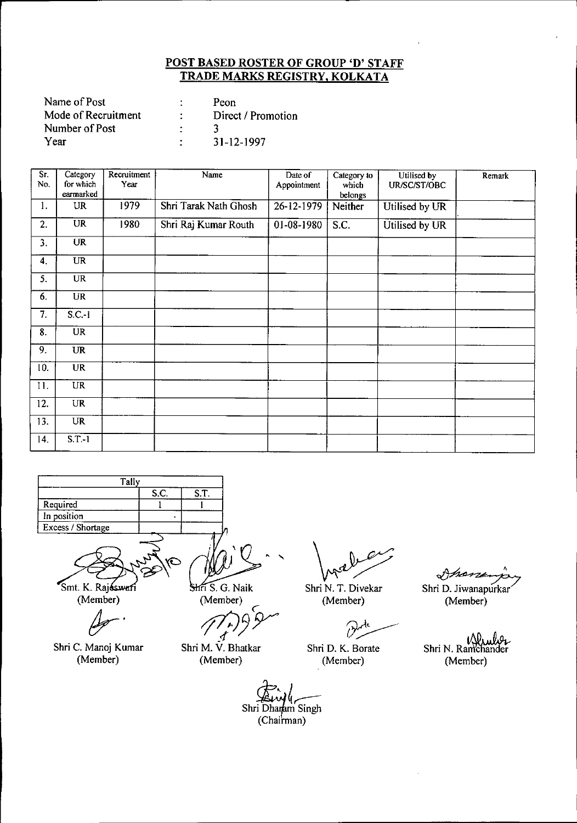| Name of Post        |   | Peon               |
|---------------------|---|--------------------|
| Mode of Recruitment |   | Direct / Promotion |
| Number of Post      |   |                    |
| Year                | ٠ | 31-12-1997         |

| $\overline{\text{Sr.}}$<br>No. | Category<br>for which<br>earmarked | Recruitment<br>Year | Name                  | Date of<br>Appointment | Category to<br>which<br>belongs | Utilised by<br>UR/SC/ST/OBC | Remark |
|--------------------------------|------------------------------------|---------------------|-----------------------|------------------------|---------------------------------|-----------------------------|--------|
| 1.                             | UR                                 | 1979                | Shri Tarak Nath Ghosh | 26-12-1979             | Neither                         | Utilised by UR              |        |
| 2.                             | <b>UR</b>                          | 1980                | Shri Raj Kumar Routh  | 01-08-1980             | S.C.                            | Utilised by UR              |        |
| 3.                             | <b>UR</b>                          |                     |                       |                        |                                 |                             |        |
| 4.                             | <b>UR</b>                          |                     |                       |                        |                                 |                             |        |
| 5.                             | <b>UR</b>                          |                     |                       |                        |                                 |                             |        |
| 6.                             | UR                                 |                     |                       |                        |                                 |                             |        |
| 7.                             | $S.C.-1$                           |                     |                       |                        |                                 |                             |        |
| 8.                             | $\overline{UR}$                    |                     |                       |                        |                                 |                             |        |
| 9.                             | <b>UR</b>                          |                     |                       |                        |                                 |                             |        |
| 10.                            | <b>UR</b>                          |                     |                       |                        |                                 |                             |        |
| 11.                            | $\overline{UR}$                    |                     |                       |                        |                                 |                             |        |
| 12.                            | <b>UR</b>                          |                     |                       |                        |                                 |                             |        |
| 13.                            | <b>UR</b>                          |                     |                       |                        |                                 |                             |        |
| 14.                            | $S.T.-1$                           |                     |                       |                        |                                 |                             |        |

**Tally** Required **In osition** Excess*I* Shortage S.c. 1 S.T. I

Smt. K. Rajsswari (Member)

*dr-*

Shri C. Manoj Kumar (Member)

,<br>,<br>, Shri S. G. Naik

(Member)

 $\zeta$ member)<br>*1<sup>7</sup>*.

Shri M. V. Bhatkar (Member)

 $\mathbb{R}^2$ 

Shri N. T. Oivekar (Member)

B

Shri O. K. Borate (Member)

~' Shri D. Jiwanapurkar

(Member)

Shri N. Ramchander (Member)

Shri Dhamm Singh (Chairman)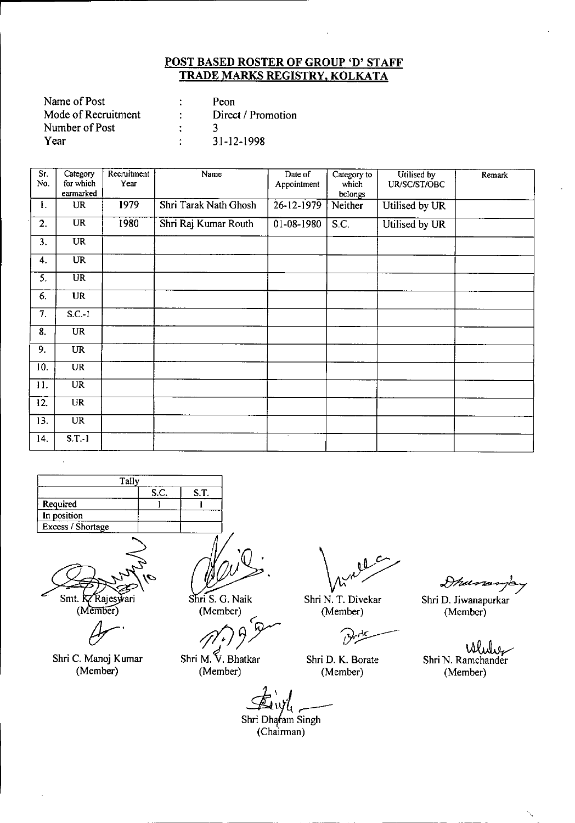| Name of Post        |    | Peon               |
|---------------------|----|--------------------|
| Mode of Recruitment | ٠. | Direct / Promotion |
| Number of Post      |    |                    |
| Year                |    | 31-12-1998         |

| Sr.<br>No. | Category<br>for which<br>earmarked | Recruitment<br>Year | Name                  | Date of<br>Appointment | Category to<br>which<br>belongs | Utilised by<br>UR/SC/ST/OBC | Remark |
|------------|------------------------------------|---------------------|-----------------------|------------------------|---------------------------------|-----------------------------|--------|
| 1.         | <b>UR</b>                          | 1979                | Shri Tarak Nath Ghosh | 26-12-1979             | Neither                         | Utilised by UR              |        |
| 2.         | <b>UR</b>                          | 1980                | Shri Raj Kumar Routh  | 01-08-1980             | S.C.                            | Utilised by UR              |        |
| 3.         | <b>UR</b>                          |                     |                       |                        |                                 |                             |        |
| 4.         | <b>UR</b>                          |                     |                       |                        |                                 |                             |        |
| 5.         | $\overline{UR}$                    |                     |                       |                        |                                 |                             |        |
| 6.         | <b>UR</b>                          |                     |                       |                        |                                 |                             |        |
| 7.         | $S.C.-1$                           |                     |                       |                        |                                 |                             |        |
| 8.         | <b>UR</b>                          |                     |                       |                        |                                 |                             |        |
| 9.         | <b>UR</b>                          |                     |                       |                        |                                 |                             |        |
| 10.        | UR                                 |                     |                       |                        |                                 |                             |        |
| 11.        | $\overline{UR}$                    |                     |                       |                        |                                 |                             |        |
| 12.        | <b>UR</b>                          |                     |                       |                        |                                 |                             |        |
| 13.        | <b>UR</b>                          |                     |                       |                        |                                 |                             |        |
| 14.        | $S.T.-1$                           |                     |                       |                        |                                 |                             |        |

| Tally             |      |      |
|-------------------|------|------|
|                   | S.C. | S.T. |
| Required          |      |      |
| In position       |      |      |
| Excess / Shortage |      |      |
|                   |      |      |

Smt. K. Rajeswari (Member)

*!Jr'*

Shri C. Manoj Kumar (Member)

~. Shri S. G. Naik

(Member) ~

*<i>47.*<br>Shri M. V. Bhatkar

(Member)

Shri N. T. Divekar (Member)

Shri D. K. Borate (Member)

Ihunomp Shri D. Jiwanapurkar (Member)

. IAtLr Shri N. Ramchander (Member)

۰.

**Ex** in the strip of the strip of the strip of the strip of the strip of the strip of the strip of the strip of the strip of the strip of the strip of the strip of the strip of the strip of the strip of the strip of the st

(Chairman)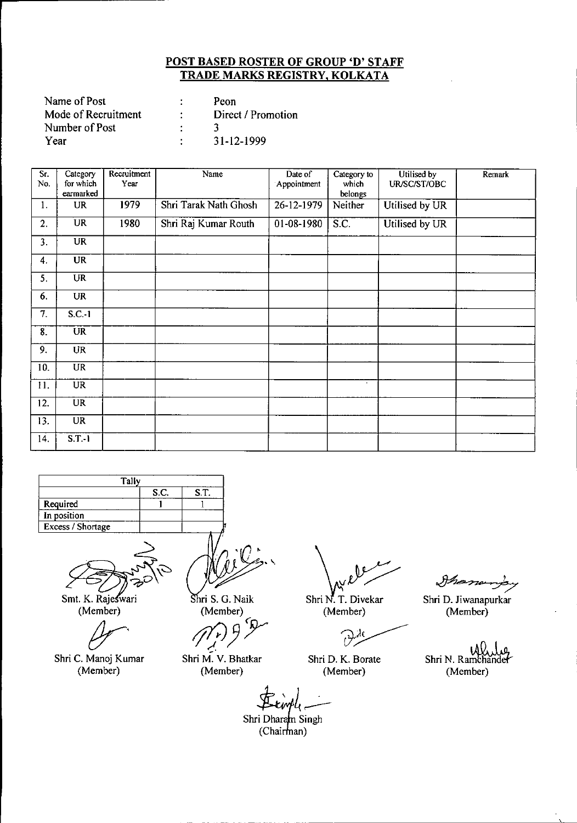| Name of Post        |        | Peon               |
|---------------------|--------|--------------------|
| Mode of Recruitment | $\sim$ | Direct / Promotion |
| Number of Post      |        |                    |
| Year                |        | 31-12-1999         |

| $\overline{\text{Sr.}}$<br>No. | Category<br>for which  | Recruitment<br>Year | Name                  | Date of<br>Appointment | Category to<br>which | Utilised by<br>UR/SC/ST/OBC | Remark |
|--------------------------------|------------------------|---------------------|-----------------------|------------------------|----------------------|-----------------------------|--------|
|                                | earmarked              |                     |                       |                        | belongs              |                             |        |
| 1.                             | UR                     | 1979                | Shri Tarak Nath Ghosh | 26-12-1979             | Neither              | Utilised by UR              |        |
| 2.                             | <b>UR</b>              | 1980                | Shri Raj Kumar Routh  | 01-08-1980             | S.C.                 | Utilised by UR              |        |
| 3.                             | UR                     |                     |                       |                        |                      |                             |        |
| 4.                             | <b>UR</b>              |                     |                       |                        |                      |                             |        |
| 5.                             | <b>UR</b>              |                     |                       |                        |                      |                             |        |
| 6.                             | UR                     |                     |                       |                        |                      |                             |        |
| 7.                             | $S.C.-1$               |                     |                       |                        |                      |                             |        |
| 8.                             | $\overline{\text{UR}}$ |                     |                       |                        |                      |                             |        |
| 9.                             | <b>UR</b>              |                     |                       |                        |                      |                             |        |
| 10.                            | $\overline{UR}$        |                     |                       |                        |                      |                             |        |
| 11.                            | $\overline{UR}$        |                     |                       |                        | $\cdot$              |                             |        |
| 12.                            | $\overline{\text{UR}}$ |                     |                       |                        |                      |                             |        |
| 13.                            | UR                     |                     |                       |                        |                      |                             |        |
| 14.                            | $S.T.-1$               |                     |                       |                        |                      |                             |        |

| Tally             |  |  |  |  |  |  |
|-------------------|--|--|--|--|--|--|
| S.C.<br>S.T.      |  |  |  |  |  |  |
| Required          |  |  |  |  |  |  |
| In position       |  |  |  |  |  |  |
| Excess / Shortage |  |  |  |  |  |  |
|                   |  |  |  |  |  |  |

~~ .<br>مرب

Smt. K. Rajeswari (Member)

~'

Shri C. Manoj Kumar (Member)

*r (~W\$'\*

Shri S. G. Naik (Member)

*!f!JJ'T* -!.

Shri M. V. Bhatkar (Member)

Shri N. T. Divekar (Member) (Member)

 $\partial^{\lambda}$ 

Shri D. K. Borate (Member)

Manary's

Shri D. Jiwanapurkar

W. Shri N. Ramchandel (Member)

 $f(x)$  $\pm$ cmpl<sub>1</sub> $-$ 

Shri Dharam Singh (Chairman)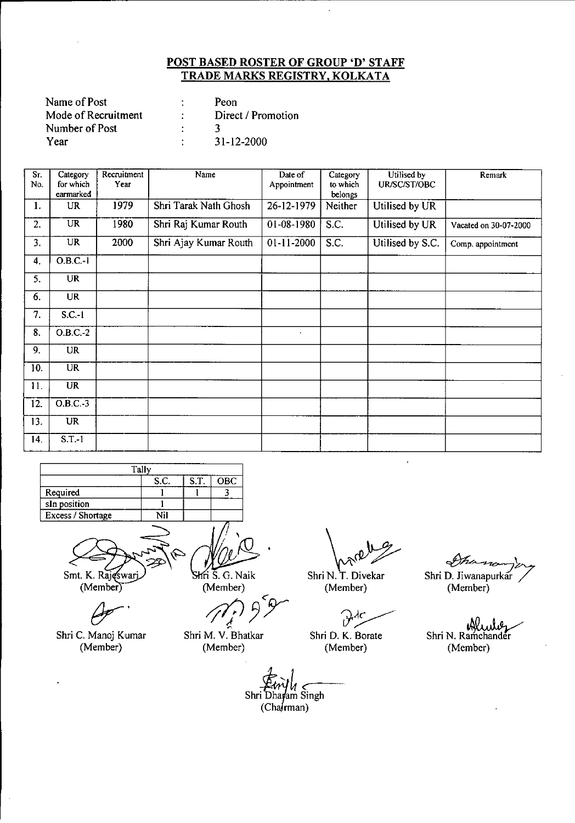| Name of Post        | Peon               |
|---------------------|--------------------|
| Mode of Recruitment | Direct / Promotion |
| Number of Post      |                    |
| Year                | 31-12-2000         |

| Sr.<br>No.        | Category<br>for which<br>earmarked | Recruitment<br>Year | Name                  | Date of<br>Appointment | Category<br>to which<br>belongs | Utilised by<br>UR/SC/ST/OBC | Remark                |
|-------------------|------------------------------------|---------------------|-----------------------|------------------------|---------------------------------|-----------------------------|-----------------------|
| 1.                | <b>UR</b>                          | 1979                | Shri Tarak Nath Ghosh | 26-12-1979             | Neither                         | Utilised by UR              |                       |
| 2.                | <b>UR</b>                          | 1980                | Shri Raj Kumar Routh  | 01-08-1980             | S.C.                            | Utilised by UR              | Vacated on 30-07-2000 |
| 3.                | <b>UR</b>                          | 2000                | Shri Ajay Kumar Routh | $01 - 11 - 2000$       | S.C.                            | Utilised by S.C.            | Comp. appointment     |
| 4.                | $O.B.C.-1$                         |                     |                       |                        |                                 |                             |                       |
| 5.                | <b>UR</b>                          |                     |                       |                        |                                 |                             |                       |
| 6.                | <b>UR</b>                          |                     |                       |                        |                                 |                             |                       |
| 7.                | $S.C.-1$                           |                     |                       |                        |                                 |                             |                       |
| 8.                | $O.B.C.-2$                         |                     |                       | $\bullet$              |                                 |                             |                       |
| 9.                | <b>UR</b>                          |                     |                       |                        |                                 |                             |                       |
| 10.               | <b>UR</b>                          |                     |                       |                        |                                 |                             |                       |
| 11.               | <b>UR</b>                          |                     |                       |                        |                                 |                             | $\sim$                |
| $\overline{12}$ . | $O.B.C.-3$                         |                     |                       |                        |                                 |                             |                       |
| 13.               | UR                                 |                     |                       |                        |                                 |                             |                       |
| 14.               | $S.T.-1$                           |                     |                       |                        |                                 |                             |                       |

| Tally             |                   |      |     |  |  |  |
|-------------------|-------------------|------|-----|--|--|--|
|                   | S.C.              | S.T. | OBC |  |  |  |
| Required          |                   |      |     |  |  |  |
| sIn position      |                   |      |     |  |  |  |
| Excess / Shortage | $\sim$ Til $\sim$ |      |     |  |  |  |
|                   |                   |      |     |  |  |  |

Smt. K. Rajeswarj

.......<br>A

Shri C. Manoj Kumar (Member)

Shri S. G. Naik (Member)

.- *'l1?3Y*

Shri M. V. Bhatkar (Member)

— Y

Shri N. T. Divekar (Member)

red The Contract of the Shri D. K. Borate

(Member)

She Shri D. Jiwanapurkar (Member)

ъW Shri N. Ramchander (Member)

 $\leftarrow$ <br>i Dhayam<br>(Chairmar  $\frac{1}{2}$ 11.- Shri Dharam Singh  $(Cha$   $rman)$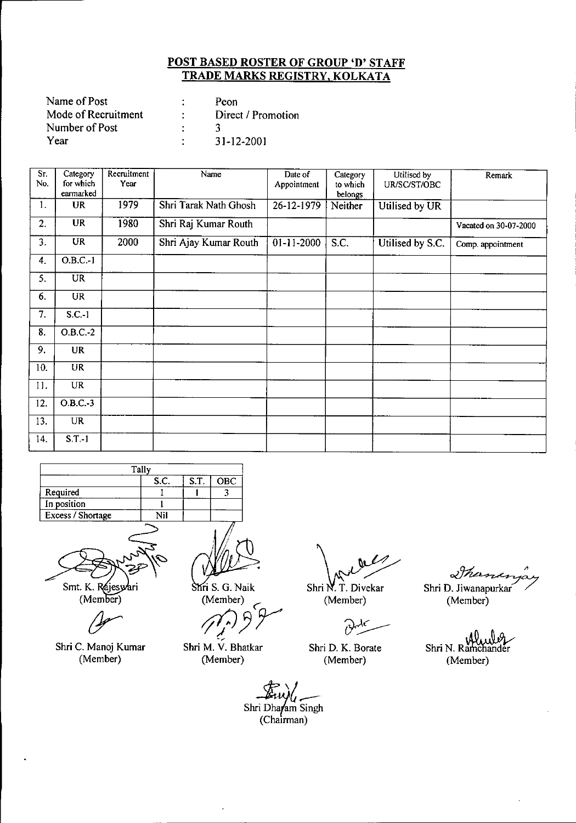| Name of Post        | Peon               |
|---------------------|--------------------|
| Mode of Recruitment | Direct / Promotion |
| Number of Post      |                    |
| Year                | 31-12-2001         |

| Sr.<br>No. | Category<br>for which<br>earmarked | Recruitment<br>Year | Name                  | Date of<br>Appointment | Category<br>to which<br>belongs | Utilised by<br>UR/SC/ST/OBC | Remark                |
|------------|------------------------------------|---------------------|-----------------------|------------------------|---------------------------------|-----------------------------|-----------------------|
| 1.         | <b>UR</b>                          | 1979                | Shri Tarak Nath Ghosh | 26-12-1979             | Neither                         | Utilised by UR              |                       |
| 2.         | <b>UR</b>                          | 1980                | Shri Raj Kumar Routh  |                        |                                 |                             | Vacated on 30-07-2000 |
| 3.         | UR                                 | 2000                | Shri Ajay Kumar Routh | $01-11-2000$           | S.C.                            | Utilised by S.C.            | Comp. appointment     |
| 4.         | O.B.C.1                            |                     |                       |                        |                                 |                             |                       |
| 5.         | <b>UR</b>                          |                     |                       |                        |                                 |                             |                       |
| 6.         | <b>UR</b>                          |                     |                       |                        |                                 |                             |                       |
| 7.         | $S.C.-1$                           |                     |                       |                        |                                 |                             |                       |
| 8.         | $O.B.C.-2$                         |                     |                       |                        |                                 |                             |                       |
| 9.         | <b>UR</b>                          |                     |                       |                        |                                 |                             |                       |
| 10.        | <b>UR</b>                          |                     |                       |                        |                                 |                             |                       |
| 11.        | <b>UR</b>                          |                     |                       |                        |                                 |                             |                       |
| 12.        | $O.B.C.-3$                         |                     |                       |                        |                                 |                             |                       |
| 13.        | <b>UR</b>                          |                     |                       |                        |                                 |                             |                       |
| 14.        | $S.T.-1$                           |                     |                       |                        |                                 |                             |                       |

| Tally             |      |      |            |  |  |
|-------------------|------|------|------------|--|--|
|                   | S.C. | S.T. | <b>OBC</b> |  |  |
| Required          |      |      |            |  |  |
| In position       |      |      |            |  |  |
| Excess / Shortage | NH   |      |            |  |  |
|                   |      |      |            |  |  |



Smt. K. Rajeswari<br>(Member)

Shri C. Manoj Kumar (Member)

Shri S. G. Naik<br>(Member)

(Member)<br>(*nr)* 9 P

Shri M. V. Bhatkar (Member)

Shri N. T. Divekar (Member)

 $\partial$ ч٢

Shri D. K. Borate (Member)

Sha

Shri D. Jiwanapurkar (Member)

Shri N. Ramchander (Member)

*~tr--* Shri~.ha(am Singh (Chairmar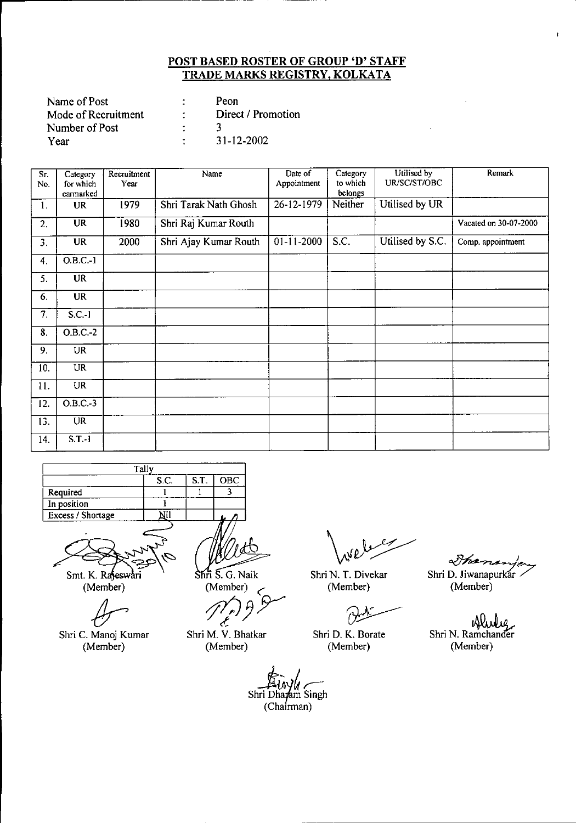| Name of Post        |   | Peon               |
|---------------------|---|--------------------|
| Mode of Recruitment |   | Direct / Promotion |
| Number of Post      |   |                    |
| Year                | ٠ | 31-12-2002         |

| Sr.<br>No. | Category<br>for which<br>earmarked | Recruitment<br>Year | Name                  | Date of<br>Appointment | Category<br>to which<br>belongs | Utilised by<br>UR/SC/ST/OBC | Remark                |
|------------|------------------------------------|---------------------|-----------------------|------------------------|---------------------------------|-----------------------------|-----------------------|
| 1.         | <b>UR</b>                          | 1979                | Shri Tarak Nath Ghosh | 26-12-1979             | Neither                         | Utilised by UR              |                       |
| 2.         | <b>UR</b>                          | 1980                | Shri Raj Kumar Routh  |                        |                                 |                             | Vacated on 30-07-2000 |
| 3.         | <b>UR</b>                          | 2000                | Shri Ajay Kumar Routh | $01 - 11 - 2000$       | S.C.                            | Utilised by S.C.            | Comp. appointment     |
| 4.         | $\overline{O.B.C.}$ -1             |                     |                       |                        |                                 |                             |                       |
| 5.         | <b>UR</b>                          |                     |                       |                        |                                 |                             |                       |
| 6.         | <b>UR</b>                          |                     |                       |                        |                                 |                             |                       |
| 7.         | $S.C.-1$                           |                     |                       |                        |                                 |                             |                       |
| 8.         | $O.B.C.-2$                         |                     |                       |                        |                                 |                             |                       |
| 9.         | <b>UR</b>                          |                     |                       |                        |                                 |                             |                       |
| 10.        | <b>UR</b>                          |                     |                       |                        |                                 |                             |                       |
| 11.        | <b>UR</b>                          |                     |                       |                        |                                 |                             |                       |
| 12.        | $O.B.C.-3$                         |                     |                       |                        |                                 |                             |                       |
| 13.        | <b>UR</b>                          |                     |                       |                        |                                 |                             |                       |
| 14.        | $S.T.-1$                           |                     |                       |                        |                                 |                             |                       |

| Tally               |  |  |  |  |  |  |  |
|---------------------|--|--|--|--|--|--|--|
| S.T.<br>OBC<br>S.C. |  |  |  |  |  |  |  |
| Required            |  |  |  |  |  |  |  |
| In position         |  |  |  |  |  |  |  |
| Excess / Shortage   |  |  |  |  |  |  |  |
|                     |  |  |  |  |  |  |  |

Smt. K. Rajeswari (Member)

Shri C. Manoj Kumar (Member)

/ Shri S. G. Naik

(Member)

*;j7:J* 3Y- *<C*

Shri M. V. Bhatkar (Member)

Shri N. T. Divekar (Member)

 $^4$ 

Shri D. K. Borate (Member)

Shananje Shri D. Jiwanapurkar (Member)

 $\mathbf{r}$ 

Shri N. Ramchander (Member)

*~~tr-.* Shri **Dh** <sup>m</sup> Singh  $(Cha**frman**)$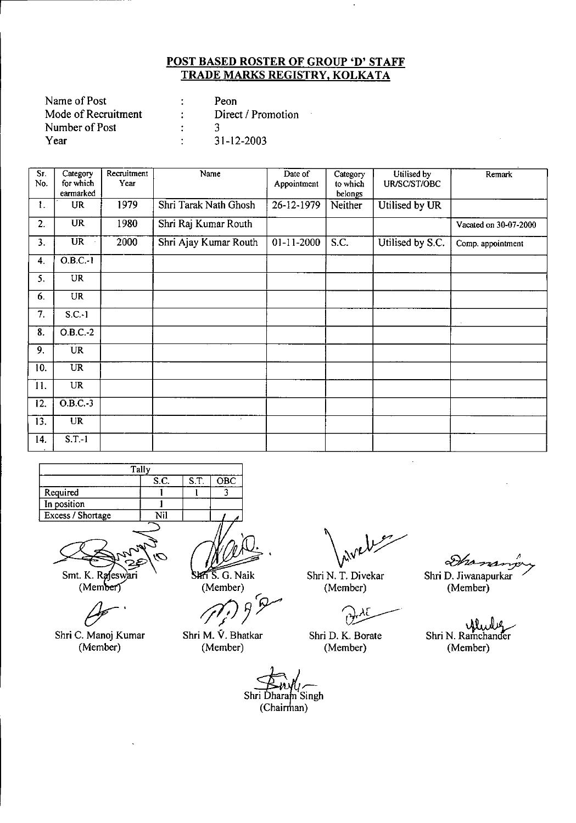| Name of Post        | Peon               |  |
|---------------------|--------------------|--|
| Mode of Recruitment | Direct / Promotion |  |
| Number of Post      |                    |  |
| Year                | $31 - 12 - 2003$   |  |

| $\overline{\text{Sr}}$<br>No. | Category<br>for which<br>earmarked | Recruitment<br>Year | Name                  | Date of<br>Appointment | Category<br>to which<br>belongs | Utilised by<br>UR/SC/ST/OBC | Remark                |
|-------------------------------|------------------------------------|---------------------|-----------------------|------------------------|---------------------------------|-----------------------------|-----------------------|
| 1.                            | UR                                 | 1979                | Shri Tarak Nath Ghosh | 26-12-1979             | Neither                         | Utilised by UR              |                       |
| 2.                            | $\overline{\text{UR}}$             | 1980                | Shri Raj Kumar Routh  |                        |                                 |                             | Vacated on 30-07-2000 |
| 3.                            | <b>UR</b>                          | 2000                | Shri Ajay Kumar Routh | $01-11-2000$           | S.C.                            | Utilised by S.C.            | Comp. appointment     |
| 4.                            | $O.B.C.-1$                         |                     |                       |                        |                                 |                             |                       |
| 5.                            | <b>UR</b>                          |                     |                       |                        |                                 |                             |                       |
| 6.                            | <b>UR</b>                          |                     |                       |                        |                                 |                             |                       |
| 7.                            | $S.C.-1$                           |                     |                       |                        |                                 |                             |                       |
| $\overline{\mathbf{8}}$ .     | $O.B.C.-2$                         |                     |                       |                        |                                 |                             |                       |
| 9.                            | <b>UR</b>                          |                     |                       |                        |                                 |                             |                       |
| 10.                           | <b>UR</b>                          |                     |                       |                        |                                 |                             |                       |
| 11.                           | <b>UR</b>                          |                     |                       |                        |                                 |                             |                       |
| 12.                           | $O.B.C.-3$                         |                     |                       |                        |                                 |                             |                       |
| 13.                           | <b>UR</b>                          |                     | $\epsilon$            |                        |                                 |                             |                       |
| 14.                           | $S.T-1$                            |                     |                       |                        |                                 |                             |                       |

|                   | Tally |      |     |
|-------------------|-------|------|-----|
|                   | S.C.  | S.T. | OBC |
| Required          |       |      |     |
| In position       |       |      |     |
| Excess / Shortage | Nil   |      |     |
|                   |       |      |     |

Smt. K. Rafeswari  $(Member)$ 

Shri C. Manoj Kumar (Member)

SHT S. G. Naik (Member)

r: *0JJ!r*

Shri M. V. Bhatkar (Member)

Shri N. T. Divekar (Member)

Shri D. K. Borate (Member)

Shri D. Jiwanapurkar (Member)

ylwleg Shri N. Ramchander (Member)

Shri Dharam Singh  $(Chairman)$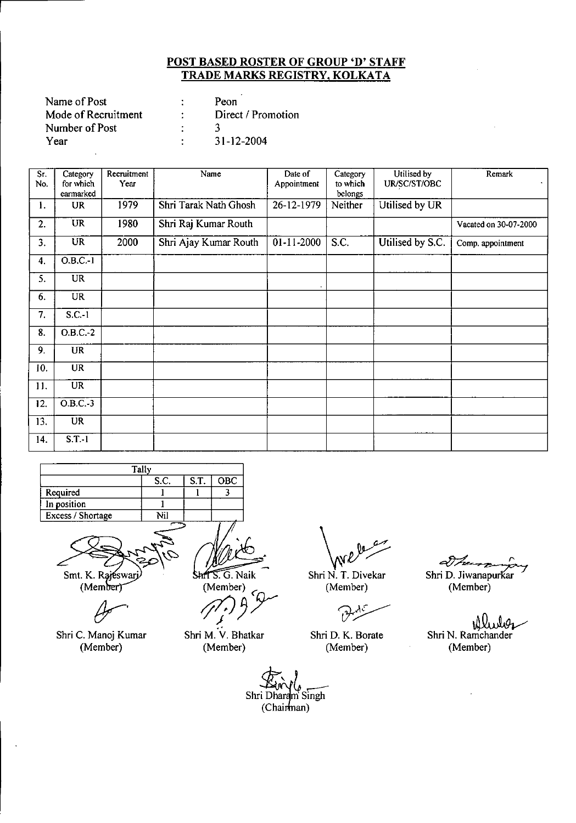| Name of Post        | Peon               |
|---------------------|--------------------|
| Mode of Recruitment | Direct / Promotion |
| Number of Post      |                    |
| Year                | $31 - 12 - 2004$   |

| Sr.<br>No. | Category<br>for which<br>earmarked | Recruitment<br>Year | Name                  | Date of<br>Appointment | Category<br>to which<br>belongs | Utilised by<br>UR/SC/ST/OBC | Remark                |
|------------|------------------------------------|---------------------|-----------------------|------------------------|---------------------------------|-----------------------------|-----------------------|
| 1.         | UR                                 | 1979                | Shri Tarak Nath Ghosh | 26-12-1979             | Neither                         | Utilised by UR              |                       |
| 2.         | UR                                 | 1980                | Shri Raj Kumar Routh  |                        |                                 |                             | Vacated on 30-07-2000 |
| 3.         | <b>UR</b>                          | 2000                | Shri Ajay Kumar Routh | $01 - 11 - 2000$       | S.C.                            | Utilised by S.C.            | Comp. appointment     |
| 4.         | $O.B.C.-1$                         |                     |                       |                        |                                 |                             |                       |
| 5.         | <b>UR</b>                          |                     |                       |                        |                                 |                             |                       |
| 6.         | <b>UR</b>                          |                     |                       |                        |                                 |                             |                       |
| 7.         | $S.C.-1$                           |                     |                       |                        |                                 |                             |                       |
| 8.         | $O.B.C.-2$                         |                     |                       |                        |                                 |                             |                       |
| 9.         | <b>UR</b>                          |                     |                       |                        |                                 |                             |                       |
| 10.        | <b>UR</b>                          |                     |                       |                        |                                 |                             |                       |
| 11.        | <b>UR</b>                          |                     |                       |                        |                                 |                             |                       |
| 12.        | $O.B.C.-3$                         |                     |                       |                        |                                 |                             |                       |
| 13.        | <b>UR</b>                          |                     |                       |                        |                                 |                             |                       |
| 14.        | $S.T - I$                          |                     |                       |                        |                                 |                             |                       |

| Tally             |      |      |            |  |
|-------------------|------|------|------------|--|
|                   | S.C. | S.T. | <b>OBC</b> |  |
| Required          |      |      |            |  |
| In position       |      |      |            |  |
| Excess / Shortage | Nil  |      |            |  |
|                   |      |      |            |  |

Smt. K. Rajeswarj (Member)

Shri C. Manoj Kumar (Member)

ShrTS. G. Naik

(Member)<br>(*i*)  $\frac{1}{2}$ 

.<br>.<br>. Shri M. V. Bhatkar (Member)

*\'ftr/* Shri N. T. Divekar

(Member)

Shri D. K. Borate (Member)

Shri D. Jiwanapurkar (Member)

*~ I'*

.~ Shri N. Ramchander (Member)

Shri Dharam Singh  $(Chainman)$